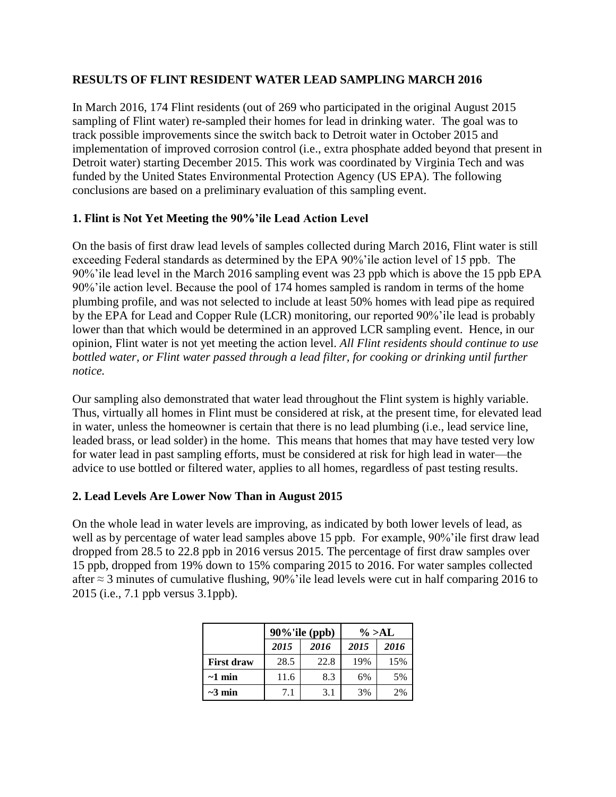## **RESULTS OF FLINT RESIDENT WATER LEAD SAMPLING MARCH 2016**

In March 2016, 174 Flint residents (out of 269 who participated in the original August 2015 sampling of Flint water) re-sampled their homes for lead in drinking water. The goal was to track possible improvements since the switch back to Detroit water in October 2015 and implementation of improved corrosion control (i.e., extra phosphate added beyond that present in Detroit water) starting December 2015. This work was coordinated by Virginia Tech and was funded by the United States Environmental Protection Agency (US EPA). The following conclusions are based on a preliminary evaluation of this sampling event.

# **1. Flint is Not Yet Meeting the 90%'ile Lead Action Level**

On the basis of first draw lead levels of samples collected during March 2016, Flint water is still exceeding Federal standards as determined by the EPA 90%'ile action level of 15 ppb. The 90%'ile lead level in the March 2016 sampling event was 23 ppb which is above the 15 ppb EPA 90%'ile action level. Because the pool of 174 homes sampled is random in terms of the home plumbing profile, and was not selected to include at least 50% homes with lead pipe as required by the EPA for Lead and Copper Rule (LCR) monitoring, our reported 90%'ile lead is probably lower than that which would be determined in an approved LCR sampling event. Hence, in our opinion, Flint water is not yet meeting the action level. *All Flint residents should continue to use bottled water, or Flint water passed through a lead filter, for cooking or drinking until further notice.*

Our sampling also demonstrated that water lead throughout the Flint system is highly variable. Thus, virtually all homes in Flint must be considered at risk, at the present time, for elevated lead in water, unless the homeowner is certain that there is no lead plumbing (i.e., lead service line, leaded brass, or lead solder) in the home. This means that homes that may have tested very low for water lead in past sampling efforts, must be considered at risk for high lead in water—the advice to use bottled or filtered water, applies to all homes, regardless of past testing results.

## **2. Lead Levels Are Lower Now Than in August 2015**

On the whole lead in water levels are improving, as indicated by both lower levels of lead, as well as by percentage of water lead samples above 15 ppb. For example, 90%'ile first draw lead dropped from 28.5 to 22.8 ppb in 2016 versus 2015. The percentage of first draw samples over 15 ppb, dropped from 19% down to 15% comparing 2015 to 2016. For water samples collected after ≈ 3 minutes of cumulative flushing, 90%'ile lead levels were cut in half comparing 2016 to 2015 (i.e., 7.1 ppb versus 3.1ppb).

|                   | 90%'ile (ppb) |      | $\% >AL$ |      |
|-------------------|---------------|------|----------|------|
|                   | 2015          | 2016 | 2015     | 2016 |
| <b>First draw</b> | 28.5          | 22.8 | 19%      | 15%  |
| $\sim$ 1 min      | 11.6          | 8.3  | 6%       | 5%   |
| $\sim$ 3 min      | 7.1           | 3.1  | 3%       | 2%   |